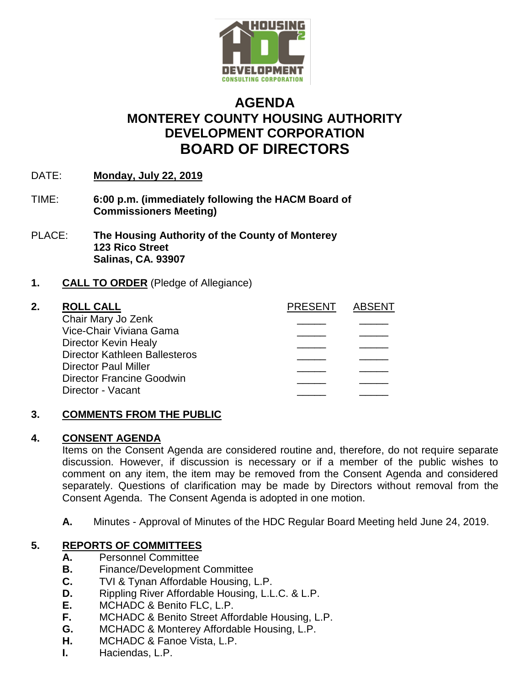

# **AGENDA MONTEREY COUNTY HOUSING AUTHORITY DEVELOPMENT CORPORATION BOARD OF DIRECTORS**

- DATE: **Monday, July 22, 2019**
- TIME: **6:00 p.m. (immediately following the HACM Board of Commissioners Meeting)**
- PLACE: **The Housing Authority of the County of Monterey 123 Rico Street Salinas, CA. 93907**

# **1. CALL TO ORDER** (Pledge of Allegiance)

#### **2. ROLL CALL PRESENT ABSENT** Chair Mary Jo Zenk \_\_\_\_\_ \_\_\_\_\_ Vice-Chair Viviana Gama \_\_\_\_\_ \_\_\_\_\_ Director Kevin Healy Director Kathleen Ballesteros \_\_\_\_\_ \_\_\_\_\_ Director Paul Miller Director Francine Goodwin Director - Vacant

# **3. COMMENTS FROM THE PUBLIC**

#### **4. CONSENT AGENDA**

Items on the Consent Agenda are considered routine and, therefore, do not require separate discussion. However, if discussion is necessary or if a member of the public wishes to comment on any item, the item may be removed from the Consent Agenda and considered separately. Questions of clarification may be made by Directors without removal from the Consent Agenda. The Consent Agenda is adopted in one motion.

**A.** Minutes - Approval of Minutes of the HDC Regular Board Meeting held June 24, 2019.

# **5. REPORTS OF COMMITTEES**

- **A.** Personnel Committee
- **B.** Finance/Development Committee
- **C.** TVI & Tynan Affordable Housing, L.P.
- **D.** Rippling River Affordable Housing, L.L.C. & L.P.
- **E.** MCHADC & Benito FLC, L.P.
- **F.** MCHADC & Benito Street Affordable Housing, L.P.
- **G.** MCHADC & Monterey Affordable Housing, L.P.
- **H.** MCHADC & Fanoe Vista, L.P.
- **I.** Haciendas, L.P.